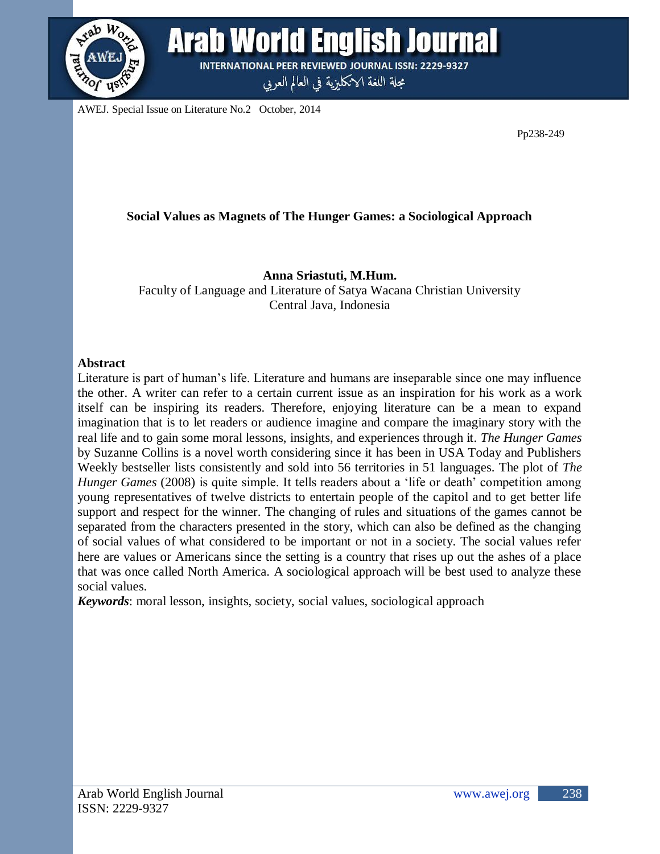

**Arab World English Journal INTERNATIONAL PEER REVIEWED JOURNAL ISSN: 2229-9327** 

مجلة اللغة الانكليزية في العالم العربي

AWEJ. Special Issue on Literature No.2 October, 2014

Pp238-249

# **Social Values as Magnets of The Hunger Games: a Sociological Approach**

# **Anna Sriastuti, M.Hum.**

Faculty of Language and Literature of Satya Wacana Christian University Central Java, Indonesia

### **Abstract**

Literature is part of human"s life. Literature and humans are inseparable since one may influence the other. A writer can refer to a certain current issue as an inspiration for his work as a work itself can be inspiring its readers. Therefore, enjoying literature can be a mean to expand imagination that is to let readers or audience imagine and compare the imaginary story with the real life and to gain some moral lessons, insights, and experiences through it. *The Hunger Games* by Suzanne Collins is a novel worth considering since it has been in USA Today and Publishers Weekly bestseller lists consistently and sold into 56 territories in 51 languages. The plot of *The Hunger Games* (2008) is quite simple. It tells readers about a 'life or death' competition among young representatives of twelve districts to entertain people of the capitol and to get better life support and respect for the winner. The changing of rules and situations of the games cannot be separated from the characters presented in the story, which can also be defined as the changing of social values of what considered to be important or not in a society. The social values refer here are values or Americans since the setting is a country that rises up out the ashes of a place that was once called North America. A sociological approach will be best used to analyze these social values.

*Keywords*: moral lesson, insights, society, social values, sociological approach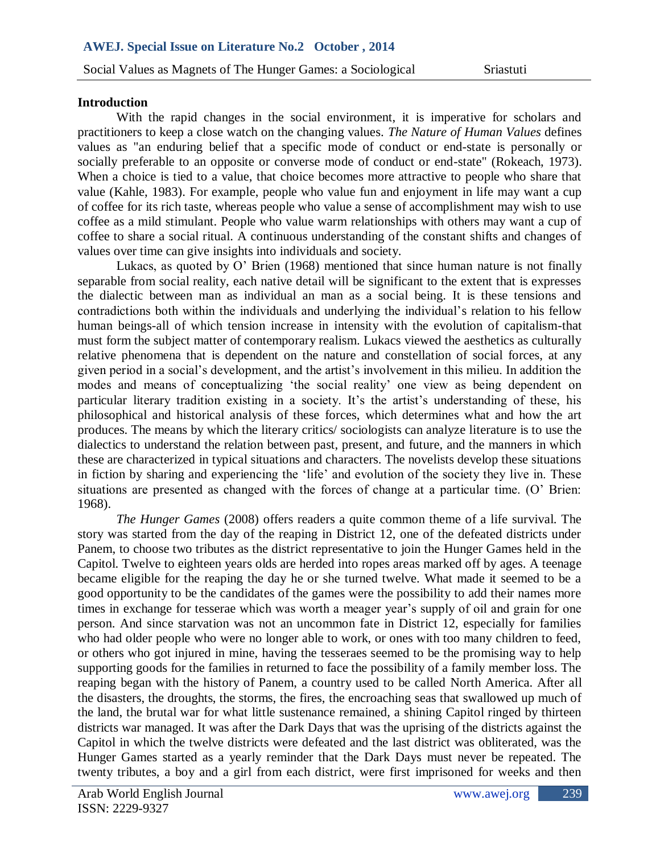#### **Introduction**

With the rapid changes in the social environment, it is imperative for scholars and values as "an enduring belief that a specific mode of conduct or end-state is personally or When a choice is tied to a value, that choice becomes more attractive to people who share that practitioners to keep a close watch on the changing values. *The Nature of Human Values* defines socially preferable to an opposite or converse mode of conduct or end-state" (Rokeach, 1973). value (Kahle, 1983). For example, people who value fun and enjoyment in life may want a cup of coffee for its rich taste, whereas people who value a sense of accomplishment may wish to use coffee as a mild stimulant. People who value warm relationships with others may want a cup of coffee to share a social ritual. A continuous understanding of the constant shifts and changes of values over time can give insights into individuals and society.

Lukacs, as quoted by O" Brien (1968) mentioned that since human nature is not finally separable from social reality, each native detail will be significant to the extent that is expresses the dialectic between man as individual an man as a social being. It is these tensions and contradictions both within the individuals and underlying the individual"s relation to his fellow human beings-all of which tension increase in intensity with the evolution of capitalism-that must form the subject matter of contemporary realism. Lukacs viewed the aesthetics as culturally relative phenomena that is dependent on the nature and constellation of social forces, at any given period in a social"s development, and the artist"s involvement in this milieu. In addition the modes and means of conceptualizing 'the social reality' one view as being dependent on particular literary tradition existing in a society. It's the artist's understanding of these, his philosophical and historical analysis of these forces, which determines what and how the art produces. The means by which the literary critics/ sociologists can analyze literature is to use the dialectics to understand the relation between past, present, and future, and the manners in which these are characterized in typical situations and characters. The novelists develop these situations in fiction by sharing and experiencing the "life" and evolution of the society they live in. These situations are presented as changed with the forces of change at a particular time. (O" Brien: 1968).

*The Hunger Games* (2008) offers readers a quite common theme of a life survival. The story was started from the day of the reaping in District 12, one of the defeated districts under Panem, to choose two tributes as the district representative to join the Hunger Games held in the Capitol. Twelve to eighteen years olds are herded into ropes areas marked off by ages. A teenage became eligible for the reaping the day he or she turned twelve. What made it seemed to be a good opportunity to be the candidates of the games were the possibility to add their names more times in exchange for tesserae which was worth a meager year's supply of oil and grain for one person. And since starvation was not an uncommon fate in District 12, especially for families who had older people who were no longer able to work, or ones with too many children to feed, or others who got injured in mine, having the tesseraes seemed to be the promising way to help supporting goods for the families in returned to face the possibility of a family member loss. The reaping began with the history of Panem, a country used to be called North America. After all the disasters, the droughts, the storms, the fires, the encroaching seas that swallowed up much of the land, the brutal war for what little sustenance remained, a shining Capitol ringed by thirteen districts war managed. It was after the Dark Days that was the uprising of the districts against the Capitol in which the twelve districts were defeated and the last district was obliterated, was the Hunger Games started as a yearly reminder that the Dark Days must never be repeated. The twenty tributes, a boy and a girl from each district, were first imprisoned for weeks and then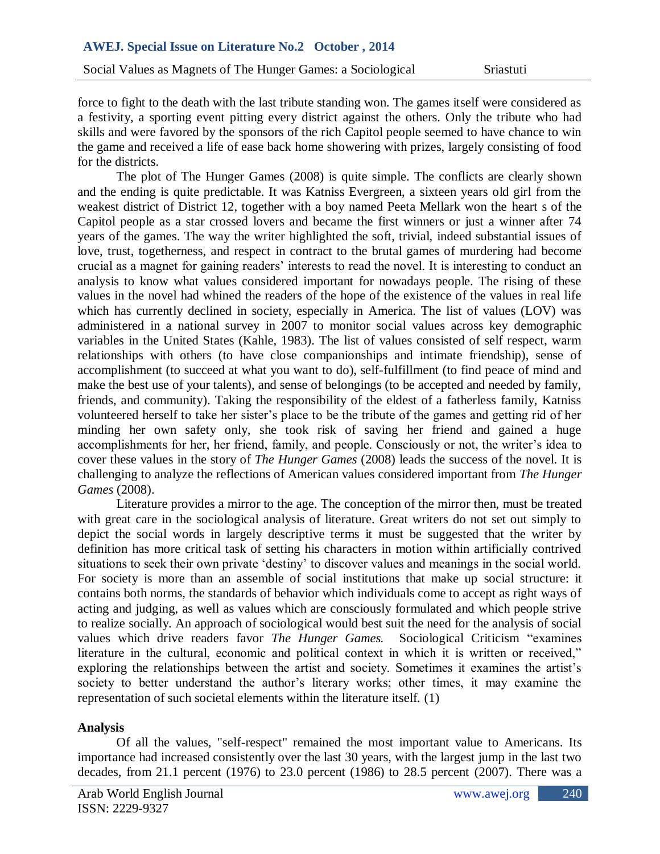Social Values as Magnets of The Hunger Games: a Sociological Sriastuti

a festivity, a sporting event pitting every district against the others. Only the tribute who had the game and received a life of ease back home showering with prizes, largely consisting of food force to fight to the death with the last tribute standing won. The games itself were considered as skills and were favored by the sponsors of the rich Capitol people seemed to have chance to win for the districts.

The plot of The Hunger Games (2008) is quite simple. The conflicts are clearly shown and the ending is quite predictable. It was Katniss Evergreen, a sixteen years old girl from the weakest district of District 12, together with a boy named Peeta Mellark won the heart s of the Capitol people as a star crossed lovers and became the first winners or just a winner after 74 years of the games. The way the writer highlighted the soft, trivial, indeed substantial issues of love, trust, togetherness, and respect in contract to the brutal games of murdering had become crucial as a magnet for gaining readers" interests to read the novel. It is interesting to conduct an analysis to know what values considered important for nowadays people. The rising of these values in the novel had whined the readers of the hope of the existence of the values in real life which has currently declined in society, especially in America. The list of values (LOV) was administered in a national survey in 2007 to monitor social values across key demographic variables in the United States (Kahle, 1983). The list of values consisted of self respect, warm relationships with others (to have close companionships and intimate friendship), sense of accomplishment (to succeed at what you want to do), self-fulfillment (to find peace of mind and make the best use of your talents), and sense of belongings (to be accepted and needed by family, friends, and community). Taking the responsibility of the eldest of a fatherless family, Katniss volunteered herself to take her sister"s place to be the tribute of the games and getting rid of her minding her own safety only, she took risk of saving her friend and gained a huge accomplishments for her, her friend, family, and people. Consciously or not, the writer"s idea to cover these values in the story of *The Hunger Games* (2008) leads the success of the novel. It is challenging to analyze the reflections of American values considered important from *The Hunger Games* (2008).

Literature provides a mirror to the age. The conception of the mirror then, must be treated with great care in the sociological analysis of literature. Great writers do not set out simply to depict the social words in largely descriptive terms it must be suggested that the writer by definition has more critical task of setting his characters in motion within artificially contrived situations to seek their own private "destiny" to discover values and meanings in the social world. For society is more than an assemble of social institutions that make up social structure: it contains both norms, the standards of behavior which individuals come to accept as right ways of acting and judging, as well as values which are consciously formulated and which people strive to realize socially. An approach of sociological would best suit the need for the analysis of social values which drive readers favor *The Hunger Games.* Sociological Criticism "examines literature in the cultural, economic and political context in which it is written or received," exploring the relationships between the artist and society. Sometimes it examines the artist"s society to better understand the author's literary works; other times, it may examine the representation of such societal elements within the literature itself. (1)

# **Analysis**

Of all the values, "self-respect" remained the most important value to Americans. Its importance had increased consistently over the last 30 years, with the largest jump in the last two decades, from 21.1 percent (1976) to 23.0 percent (1986) to 28.5 percent (2007). There was a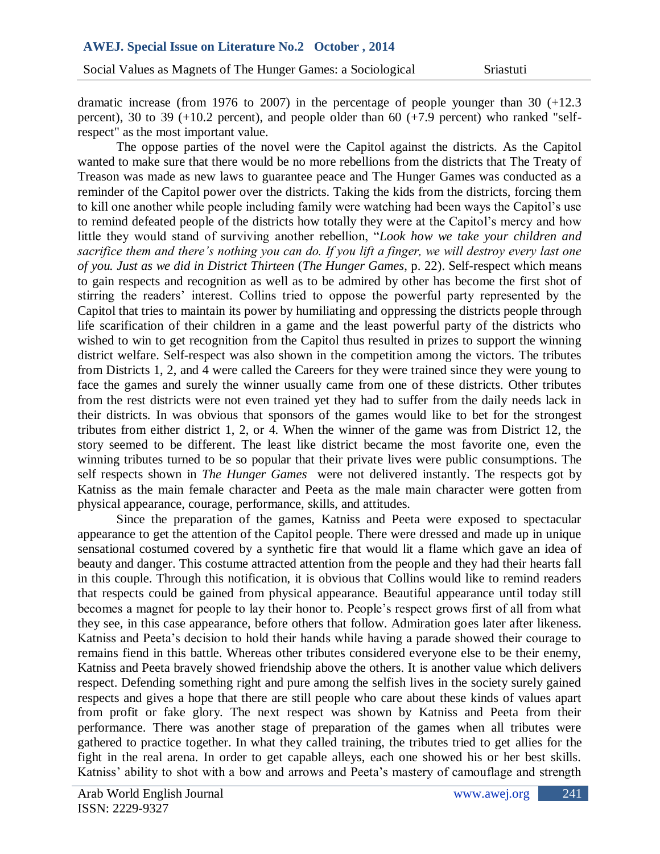percent), 30 to 39 (+10.2 percent), and people older than 60 (+7.9 percent) who ranked "selfdramatic increase (from 1976 to 2007) in the percentage of people younger than 30 (+12.3 respect" as the most important value.

The oppose parties of the novel were the Capitol against the districts. As the Capitol Mostafa Treason was made as new laws to guarantee peace and The Hunger Games was conducted as a wanted to make sure that there would be no more rebellions from the districts that The Treaty of reminder of the Capitol power over the districts. Taking the kids from the districts, forcing them to kill one another while people including family were watching had been ways the Capitol"s use to remind defeated people of the districts how totally they were at the Capitol"s mercy and how little they would stand of surviving another rebellion, "*Look how we take your children and sacrifice them and there's nothing you can do. If you lift a finger, we will destroy every last one of you. Just as we did in District Thirteen* (*The Hunger Games*, p. 22). Self-respect which means to gain respects and recognition as well as to be admired by other has become the first shot of stirring the readers" interest. Collins tried to oppose the powerful party represented by the Capitol that tries to maintain its power by humiliating and oppressing the districts people through life scarification of their children in a game and the least powerful party of the districts who wished to win to get recognition from the Capitol thus resulted in prizes to support the winning district welfare. Self-respect was also shown in the competition among the victors. The tributes from Districts 1, 2, and 4 were called the Careers for they were trained since they were young to face the games and surely the winner usually came from one of these districts. Other tributes from the rest districts were not even trained yet they had to suffer from the daily needs lack in their districts. In was obvious that sponsors of the games would like to bet for the strongest tributes from either district 1, 2, or 4. When the winner of the game was from District 12, the story seemed to be different. The least like district became the most favorite one, even the winning tributes turned to be so popular that their private lives were public consumptions. The self respects shown in *The Hunger Games* were not delivered instantly. The respects got by Katniss as the main female character and Peeta as the male main character were gotten from physical appearance, courage, performance, skills, and attitudes.

Since the preparation of the games, Katniss and Peeta were exposed to spectacular appearance to get the attention of the Capitol people. There were dressed and made up in unique sensational costumed covered by a synthetic fire that would lit a flame which gave an idea of beauty and danger. This costume attracted attention from the people and they had their hearts fall in this couple. Through this notification, it is obvious that Collins would like to remind readers that respects could be gained from physical appearance. Beautiful appearance until today still becomes a magnet for people to lay their honor to. People"s respect grows first of all from what they see, in this case appearance, before others that follow. Admiration goes later after likeness. Katniss and Peeta"s decision to hold their hands while having a parade showed their courage to remains fiend in this battle. Whereas other tributes considered everyone else to be their enemy, Katniss and Peeta bravely showed friendship above the others. It is another value which delivers respect. Defending something right and pure among the selfish lives in the society surely gained respects and gives a hope that there are still people who care about these kinds of values apart from profit or fake glory. The next respect was shown by Katniss and Peeta from their performance. There was another stage of preparation of the games when all tributes were gathered to practice together. In what they called training, the tributes tried to get allies for the fight in the real arena. In order to get capable alleys, each one showed his or her best skills. Katniss' ability to shot with a bow and arrows and Peeta's mastery of camouflage and strength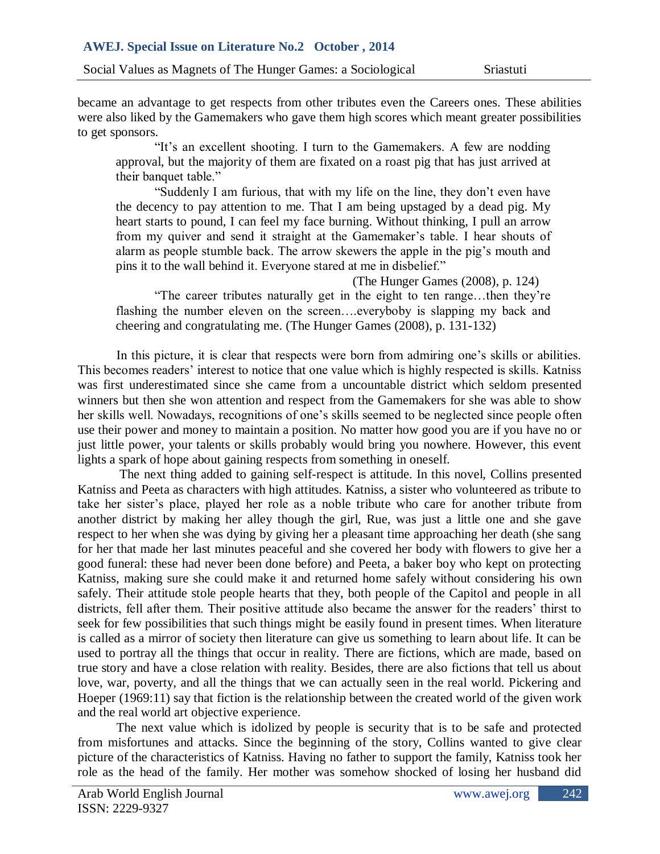were also liked by the Gamemakers who gave them high scores which meant greater possibilities  $\overline{a}$ became an advantage to get respects from other tributes even the Careers ones. These abilities to get sponsors.

Mostafa their banquet table." "It's an excellent shooting. I turn to the Gamemakers. A few are nodding approval, but the majority of them are fixated on a roast pig that has just arrived at

"Suddenly I am furious, that with my life on the line, they don"t even have the decency to pay attention to me. That I am being upstaged by a dead pig. My heart starts to pound, I can feel my face burning. Without thinking, I pull an arrow from my quiver and send it straight at the Gamemaker's table. I hear shouts of alarm as people stumble back. The arrow skewers the apple in the pig"s mouth and pins it to the wall behind it. Everyone stared at me in disbelief."

(The Hunger Games (2008), p. 124)

"The career tributes naturally get in the eight to ten range…then they"re flashing the number eleven on the screen….everyboby is slapping my back and cheering and congratulating me. (The Hunger Games (2008), p. 131-132)

In this picture, it is clear that respects were born from admiring one"s skills or abilities. This becomes readers' interest to notice that one value which is highly respected is skills. Katniss was first underestimated since she came from a uncountable district which seldom presented winners but then she won attention and respect from the Gamemakers for she was able to show her skills well. Nowadays, recognitions of one's skills seemed to be neglected since people often use their power and money to maintain a position. No matter how good you are if you have no or just little power, your talents or skills probably would bring you nowhere. However, this event lights a spark of hope about gaining respects from something in oneself.

The next thing added to gaining self-respect is attitude. In this novel, Collins presented Katniss and Peeta as characters with high attitudes. Katniss, a sister who volunteered as tribute to take her sister"s place, played her role as a noble tribute who care for another tribute from another district by making her alley though the girl, Rue, was just a little one and she gave respect to her when she was dying by giving her a pleasant time approaching her death (she sang for her that made her last minutes peaceful and she covered her body with flowers to give her a good funeral: these had never been done before) and Peeta, a baker boy who kept on protecting Katniss, making sure she could make it and returned home safely without considering his own safely. Their attitude stole people hearts that they, both people of the Capitol and people in all districts, fell after them. Their positive attitude also became the answer for the readers' thirst to seek for few possibilities that such things might be easily found in present times. When literature is called as a mirror of society then literature can give us something to learn about life. It can be used to portray all the things that occur in reality. There are fictions, which are made, based on true story and have a close relation with reality. Besides, there are also fictions that tell us about love, war, poverty, and all the things that we can actually seen in the real world. Pickering and Hoeper (1969:11) say that fiction is the relationship between the created world of the given work and the real world art objective experience.

The next value which is idolized by people is security that is to be safe and protected from misfortunes and attacks. Since the beginning of the story, Collins wanted to give clear picture of the characteristics of Katniss. Having no father to support the family, Katniss took her role as the head of the family. Her mother was somehow shocked of losing her husband did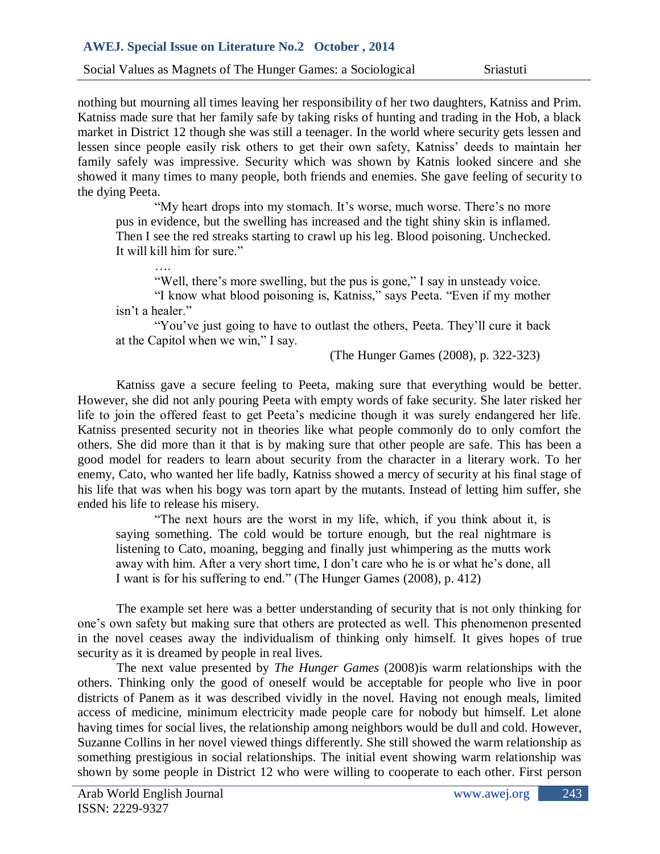### **AWEJ. Special Issue on Literature No.2 October , 2014**

Social Values as Magnets of The Hunger Games: a Sociological Sriastuti

Katniss made sure that her family safe by taking risks of hunting and trading in the Hob, a black lessen since people easily risk others to get their own safety, Katniss' deeds to maintain her showed it many times to many people, both friends and enemies. She gave feeling of security to nothing but mourning all times leaving her responsibility of her two daughters, Katniss and Prim. market in District 12 though she was still a teenager. In the world where security gets lessen and family safely was impressive. Security which was shown by Katnis looked sincere and she the dying Peeta.

"My heart drops into my stomach. It's worse, much worse. There's no more pus in evidence, but the swelling has increased and the tight shiny skin is inflamed. Then I see the red streaks starting to crawl up his leg. Blood poisoning. Unchecked. It will kill him for sure."

"Well, there's more swelling, but the pus is gone," I say in unsteady voice.

"I know what blood poisoning is, Katniss," says Peeta. "Even if my mother isn"t a healer."

"You"ve just going to have to outlast the others, Peeta. They"ll cure it back at the Capitol when we win," I say.

(The Hunger Games (2008), p. 322-323)

Katniss gave a secure feeling to Peeta, making sure that everything would be better. However, she did not anly pouring Peeta with empty words of fake security. She later risked her life to join the offered feast to get Peeta"s medicine though it was surely endangered her life. Katniss presented security not in theories like what people commonly do to only comfort the others. She did more than it that is by making sure that other people are safe. This has been a good model for readers to learn about security from the character in a literary work. To her enemy, Cato, who wanted her life badly, Katniss showed a mercy of security at his final stage of his life that was when his bogy was torn apart by the mutants. Instead of letting him suffer, she ended his life to release his misery.

"The next hours are the worst in my life, which, if you think about it, is saying something. The cold would be torture enough, but the real nightmare is listening to Cato, moaning, begging and finally just whimpering as the mutts work away with him. After a very short time, I don"t care who he is or what he"s done, all I want is for his suffering to end." (The Hunger Games (2008), p. 412)

The example set here was a better understanding of security that is not only thinking for one"s own safety but making sure that others are protected as well. This phenomenon presented in the novel ceases away the individualism of thinking only himself. It gives hopes of true security as it is dreamed by people in real lives.

The next value presented by *The Hunger Games* (2008)is warm relationships with the others. Thinking only the good of oneself would be acceptable for people who live in poor districts of Panem as it was described vividly in the novel. Having not enough meals, limited access of medicine, minimum electricity made people care for nobody but himself. Let alone having times for social lives, the relationship among neighbors would be dull and cold. However, Suzanne Collins in her novel viewed things differently. She still showed the warm relationship as something prestigious in social relationships. The initial event showing warm relationship was shown by some people in District 12 who were willing to cooperate to each other. First person

….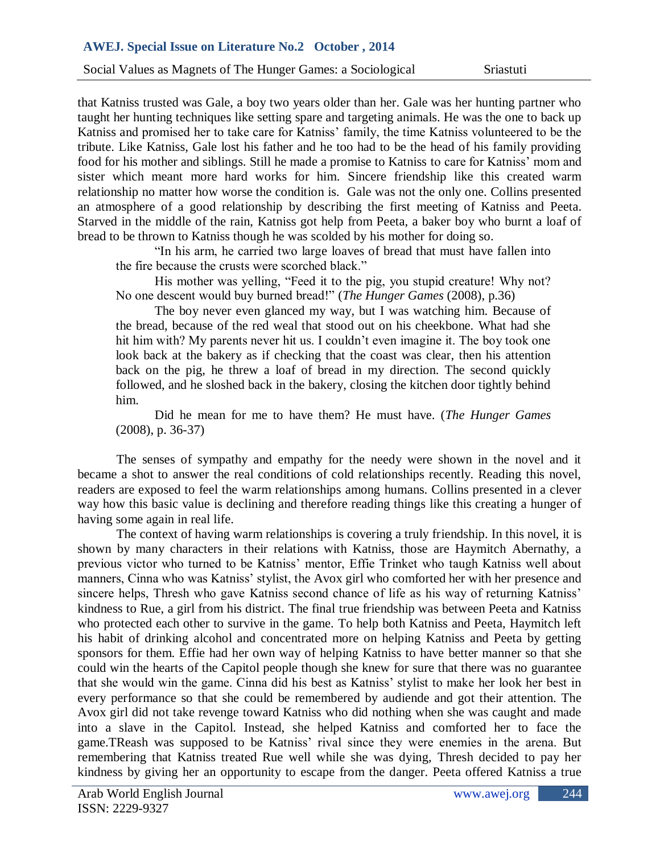taught her hunting techniques like setting spare and targeting animals. He was the one to back up tribute. Like Katniss, Gale lost his father and he too had to be the head of his family providing sister which meant more hard works for him. Sincere friendship like this created warm that Katniss trusted was Gale, a boy two years older than her. Gale was her hunting partner who Katniss and promised her to take care for Katniss' family, the time Katniss volunteered to be the food for his mother and siblings. Still he made a promise to Katniss to care for Katniss" mom and relationship no matter how worse the condition is. Gale was not the only one. Collins presented an atmosphere of a good relationship by describing the first meeting of Katniss and Peeta. Starved in the middle of the rain, Katniss got help from Peeta, a baker boy who burnt a loaf of bread to be thrown to Katniss though he was scolded by his mother for doing so.

"In his arm, he carried two large loaves of bread that must have fallen into the fire because the crusts were scorched black."

His mother was yelling, "Feed it to the pig, you stupid creature! Why not? No one descent would buy burned bread!" (*The Hunger Games* (2008), p.36)

The boy never even glanced my way, but I was watching him. Because of the bread, because of the red weal that stood out on his cheekbone. What had she hit him with? My parents never hit us. I couldn"t even imagine it. The boy took one look back at the bakery as if checking that the coast was clear, then his attention back on the pig, he threw a loaf of bread in my direction. The second quickly followed, and he sloshed back in the bakery, closing the kitchen door tightly behind him.

Did he mean for me to have them? He must have. (*The Hunger Games* (2008), p. 36-37)

The senses of sympathy and empathy for the needy were shown in the novel and it became a shot to answer the real conditions of cold relationships recently. Reading this novel, readers are exposed to feel the warm relationships among humans. Collins presented in a clever way how this basic value is declining and therefore reading things like this creating a hunger of having some again in real life.

The context of having warm relationships is covering a truly friendship. In this novel, it is shown by many characters in their relations with Katniss, those are Haymitch Abernathy, a previous victor who turned to be Katniss" mentor, Effie Trinket who taugh Katniss well about manners, Cinna who was Katniss" stylist, the Avox girl who comforted her with her presence and sincere helps, Thresh who gave Katniss second chance of life as his way of returning Katniss' kindness to Rue, a girl from his district. The final true friendship was between Peeta and Katniss who protected each other to survive in the game. To help both Katniss and Peeta, Haymitch left his habit of drinking alcohol and concentrated more on helping Katniss and Peeta by getting sponsors for them. Effie had her own way of helping Katniss to have better manner so that she could win the hearts of the Capitol people though she knew for sure that there was no guarantee that she would win the game. Cinna did his best as Katniss" stylist to make her look her best in every performance so that she could be remembered by audiende and got their attention. The Avox girl did not take revenge toward Katniss who did nothing when she was caught and made into a slave in the Capitol. Instead, she helped Katniss and comforted her to face the game.TReash was supposed to be Katniss' rival since they were enemies in the arena. But remembering that Katniss treated Rue well while she was dying, Thresh decided to pay her kindness by giving her an opportunity to escape from the danger. Peeta offered Katniss a true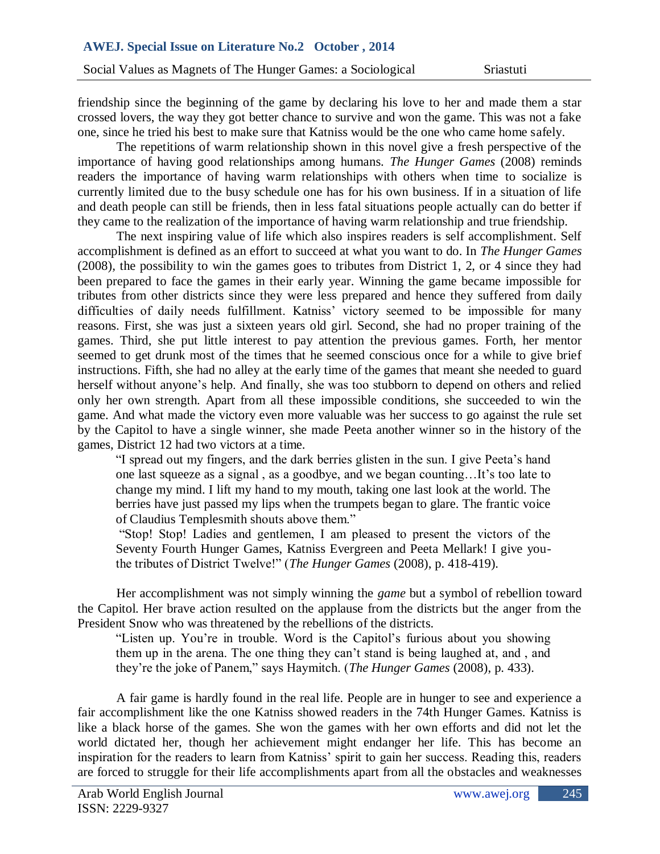crossed lovers, the way they got better chance to survive and won the game. This was not a fake friendship since the beginning of the game by declaring his love to her and made them a star one, since he tried his best to make sure that Katniss would be the one who came home safely.

The repetitions of warm relationship shown in this novel give a fresh perspective of the readers the importance of having warm relationships with others when time to socialize is importance of having good relationships among humans. *The Hunger Games* (2008) reminds currently limited due to the busy schedule one has for his own business. If in a situation of life and death people can still be friends, then in less fatal situations people actually can do better if they came to the realization of the importance of having warm relationship and true friendship.

The next inspiring value of life which also inspires readers is self accomplishment. Self accomplishment is defined as an effort to succeed at what you want to do. In *The Hunger Games* (2008)*,* the possibility to win the games goes to tributes from District 1, 2, or 4 since they had been prepared to face the games in their early year. Winning the game became impossible for tributes from other districts since they were less prepared and hence they suffered from daily difficulties of daily needs fulfillment. Katniss' victory seemed to be impossible for many reasons. First, she was just a sixteen years old girl. Second, she had no proper training of the games. Third, she put little interest to pay attention the previous games. Forth, her mentor seemed to get drunk most of the times that he seemed conscious once for a while to give brief instructions. Fifth, she had no alley at the early time of the games that meant she needed to guard herself without anyone's help. And finally, she was too stubborn to depend on others and relied only her own strength. Apart from all these impossible conditions, she succeeded to win the game. And what made the victory even more valuable was her success to go against the rule set by the Capitol to have a single winner, she made Peeta another winner so in the history of the games, District 12 had two victors at a time.

"I spread out my fingers, and the dark berries glisten in the sun. I give Peeta"s hand one last squeeze as a signal , as a goodbye, and we began counting…It"s too late to change my mind. I lift my hand to my mouth, taking one last look at the world. The berries have just passed my lips when the trumpets began to glare. The frantic voice of Claudius Templesmith shouts above them."

"Stop! Stop! Ladies and gentlemen, I am pleased to present the victors of the Seventy Fourth Hunger Games, Katniss Evergreen and Peeta Mellark! I give youthe tributes of District Twelve!" (*The Hunger Games* (2008), p. 418-419).

Her accomplishment was not simply winning the *game* but a symbol of rebellion toward the Capitol. Her brave action resulted on the applause from the districts but the anger from the President Snow who was threatened by the rebellions of the districts.

"Listen up. You're in trouble. Word is the Capitol's furious about you showing them up in the arena. The one thing they can"t stand is being laughed at, and , and they"re the joke of Panem," says Haymitch. (*The Hunger Games* (2008), p. 433).

A fair game is hardly found in the real life. People are in hunger to see and experience a fair accomplishment like the one Katniss showed readers in the 74th Hunger Games. Katniss is like a black horse of the games. She won the games with her own efforts and did not let the world dictated her, though her achievement might endanger her life. This has become an inspiration for the readers to learn from Katniss' spirit to gain her success. Reading this, readers are forced to struggle for their life accomplishments apart from all the obstacles and weaknesses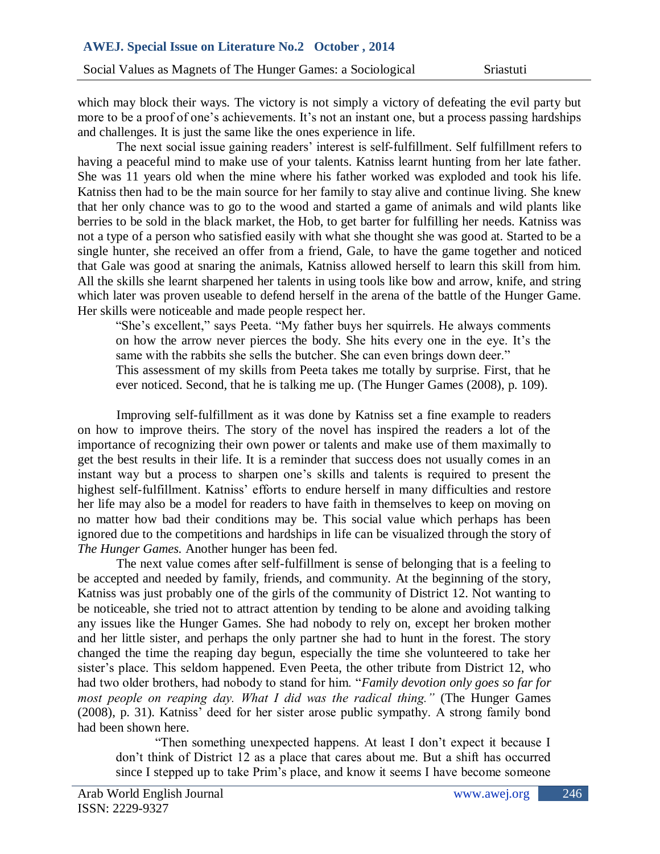more to be a proof of one's achievements. It's not an instant one, but a process passing hardships which may block their ways. The victory is not simply a victory of defeating the evil party but and challenges. It is just the same like the ones experience in life.

The next social issue gaining readers' interest is self-fulfillment. Self fulfillment refers to Mostafa She was 11 years old when the mine where his father worked was exploded and took his life. having a peaceful mind to make use of your talents. Katniss learnt hunting from her late father. Katniss then had to be the main source for her family to stay alive and continue living. She knew that her only chance was to go to the wood and started a game of animals and wild plants like berries to be sold in the black market, the Hob, to get barter for fulfilling her needs. Katniss was not a type of a person who satisfied easily with what she thought she was good at. Started to be a single hunter, she received an offer from a friend, Gale, to have the game together and noticed that Gale was good at snaring the animals, Katniss allowed herself to learn this skill from him. All the skills she learnt sharpened her talents in using tools like bow and arrow, knife, and string which later was proven useable to defend herself in the arena of the battle of the Hunger Game. Her skills were noticeable and made people respect her.

"She's excellent," says Peeta. "My father buys her squirrels. He always comments on how the arrow never pierces the body. She hits every one in the eye. It"s the same with the rabbits she sells the butcher. She can even brings down deer." This assessment of my skills from Peeta takes me totally by surprise. First, that he

ever noticed. Second, that he is talking me up. (The Hunger Games (2008), p. 109).

Improving self-fulfillment as it was done by Katniss set a fine example to readers on how to improve theirs. The story of the novel has inspired the readers a lot of the importance of recognizing their own power or talents and make use of them maximally to get the best results in their life. It is a reminder that success does not usually comes in an instant way but a process to sharpen one"s skills and talents is required to present the highest self-fulfillment. Katniss' efforts to endure herself in many difficulties and restore her life may also be a model for readers to have faith in themselves to keep on moving on no matter how bad their conditions may be. This social value which perhaps has been ignored due to the competitions and hardships in life can be visualized through the story of *The Hunger Games.* Another hunger has been fed.

The next value comes after self-fulfillment is sense of belonging that is a feeling to be accepted and needed by family, friends, and community. At the beginning of the story, Katniss was just probably one of the girls of the community of District 12. Not wanting to be noticeable, she tried not to attract attention by tending to be alone and avoiding talking any issues like the Hunger Games. She had nobody to rely on, except her broken mother and her little sister, and perhaps the only partner she had to hunt in the forest. The story changed the time the reaping day begun, especially the time she volunteered to take her sister's place. This seldom happened. Even Peeta, the other tribute from District 12, who had two older brothers, had nobody to stand for him. "*Family devotion only goes so far for most people on reaping day. What I did was the radical thing."* (The Hunger Games (2008), p. 31). Katniss" deed for her sister arose public sympathy. A strong family bond had been shown here.

"Then something unexpected happens. At least I don"t expect it because I don"t think of District 12 as a place that cares about me. But a shift has occurred since I stepped up to take Prim"s place, and know it seems I have become someone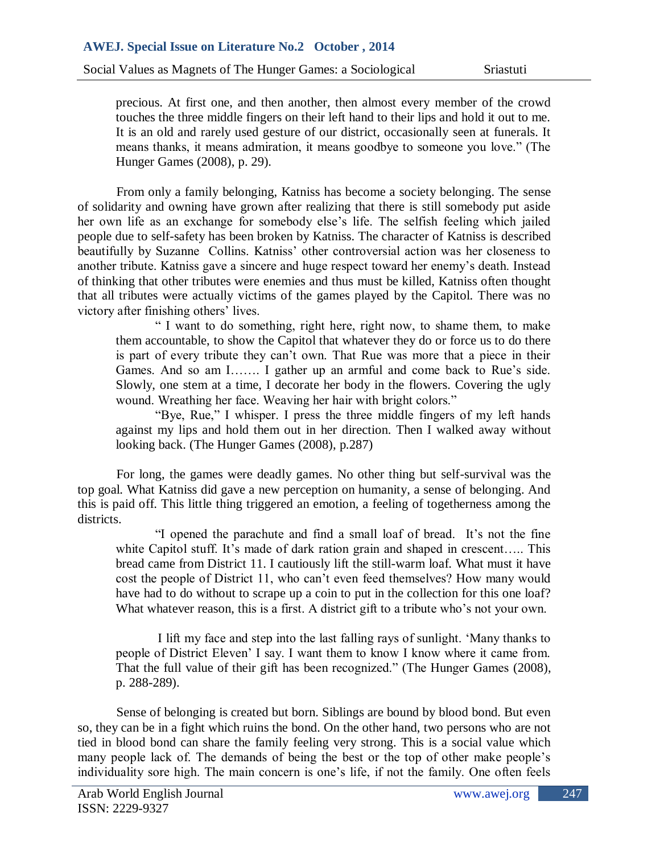touches the three middle fingers on their left hand to their lips and hold it out to me. means thanks, it means admiration, it means goodbye to someone you love." (The Mostafa precious. At first one, and then another, then almost every member of the crowd It is an old and rarely used gesture of our district, occasionally seen at funerals. It Hunger Games (2008), p. 29).

From only a family belonging, Katniss has become a society belonging. The sense of solidarity and owning have grown after realizing that there is still somebody put aside her own life as an exchange for somebody else"s life. The selfish feeling which jailed people due to self-safety has been broken by Katniss. The character of Katniss is described beautifully by Suzanne Collins. Katniss' other controversial action was her closeness to another tribute. Katniss gave a sincere and huge respect toward her enemy"s death. Instead of thinking that other tributes were enemies and thus must be killed, Katniss often thought that all tributes were actually victims of the games played by the Capitol. There was no victory after finishing others' lives.

" I want to do something, right here, right now, to shame them, to make them accountable, to show the Capitol that whatever they do or force us to do there is part of every tribute they can"t own. That Rue was more that a piece in their Games. And so am I……. I gather up an armful and come back to Rue's side. Slowly, one stem at a time, I decorate her body in the flowers. Covering the ugly wound. Wreathing her face. Weaving her hair with bright colors."

"Bye, Rue," I whisper. I press the three middle fingers of my left hands against my lips and hold them out in her direction. Then I walked away without looking back. (The Hunger Games (2008), p.287)

For long, the games were deadly games. No other thing but self-survival was the top goal. What Katniss did gave a new perception on humanity, a sense of belonging. And this is paid off. This little thing triggered an emotion, a feeling of togetherness among the districts.

"I opened the parachute and find a small loaf of bread. It"s not the fine white Capitol stuff. It's made of dark ration grain and shaped in crescent..... This bread came from District 11. I cautiously lift the still-warm loaf. What must it have cost the people of District 11, who can"t even feed themselves? How many would have had to do without to scrape up a coin to put in the collection for this one loaf? What whatever reason, this is a first. A district gift to a tribute who's not your own.

I lift my face and step into the last falling rays of sunlight. "Many thanks to people of District Eleven" I say. I want them to know I know where it came from. That the full value of their gift has been recognized." (The Hunger Games (2008), p. 288-289).

Sense of belonging is created but born. Siblings are bound by blood bond. But even so, they can be in a fight which ruins the bond. On the other hand, two persons who are not tied in blood bond can share the family feeling very strong. This is a social value which many people lack of. The demands of being the best or the top of other make people"s individuality sore high. The main concern is one's life, if not the family. One often feels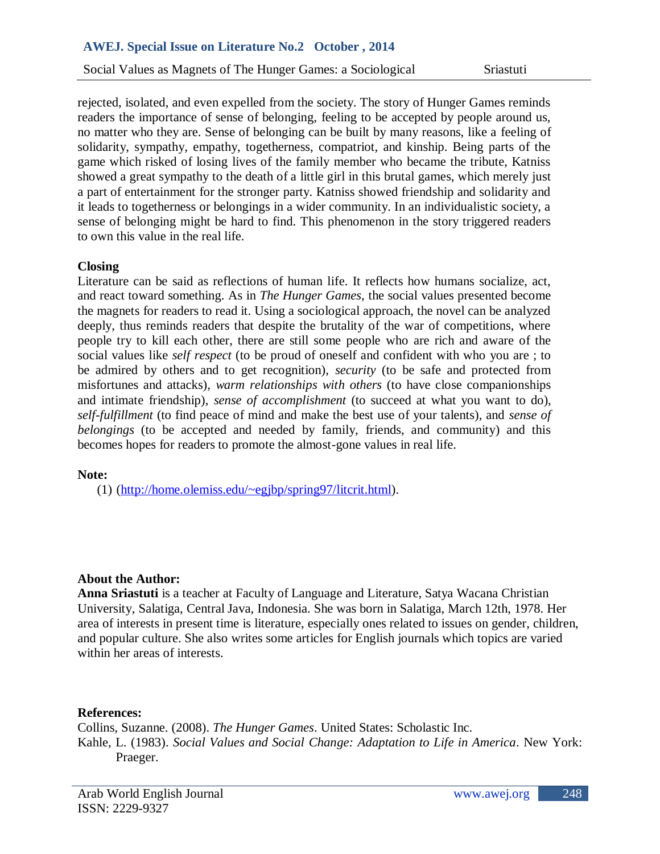Social Values as Magnets of The Hunger Games: a Sociological Sriastuti

readers the importance of sense of belonging, feeling to be accepted by people around us, solidarity, sympathy, empathy, togetherness, compatriot, and kinship. Being parts of the showed a great sympathy to the death of a little girl in this brutal games, which merely just rejected, isolated, and even expelled from the society. The story of Hunger Games reminds no matter who they are. Sense of belonging can be built by many reasons, like a feeling of game which risked of losing lives of the family member who became the tribute, Katniss a part of entertainment for the stronger party. Katniss showed friendship and solidarity and it leads to togetherness or belongings in a wider community. In an individualistic society, a sense of belonging might be hard to find. This phenomenon in the story triggered readers to own this value in the real life.

# **Closing**

Literature can be said as reflections of human life. It reflects how humans socialize, act, and react toward something. As in *The Hunger Games,* the social values presented become the magnets for readers to read it. Using a sociological approach, the novel can be analyzed deeply, thus reminds readers that despite the brutality of the war of competitions, where people try to kill each other, there are still some people who are rich and aware of the social values like *self respect* (to be proud of oneself and confident with who you are ; to be admired by others and to get recognition), *security* (to be safe and protected from misfortunes and attacks), *warm relationships with others* (to have close companionships and intimate friendship), *sense of accomplishment* (to succeed at what you want to do), *self-fulfillment* (to find peace of mind and make the best use of your talents), and *sense of belongings* (to be accepted and needed by family, friends, and community) and this becomes hopes for readers to promote the almost-gone values in real life.

#### **Note:**

(1) [\(http://home.olemiss.edu/~egjbp/spring97/litcrit.html\)](http://home.olemiss.edu/~egjbp/spring97/litcrit.html).

# **About the Author:**

**Anna Sriastuti** is a teacher at Faculty of Language and Literature, Satya Wacana Christian University, Salatiga, Central Java, Indonesia. She was born in Salatiga, March 12th, 1978. Her area of interests in present time is literature, especially ones related to issues on gender, children, and popular culture. She also writes some articles for English journals which topics are varied within her areas of interests.

#### **References:**

Collins, Suzanne. (2008). *The Hunger Games*. United States: Scholastic Inc. Kahle, L. (1983). *Social Values and Social Change: Adaptation to Life in America*. New York: Praeger.